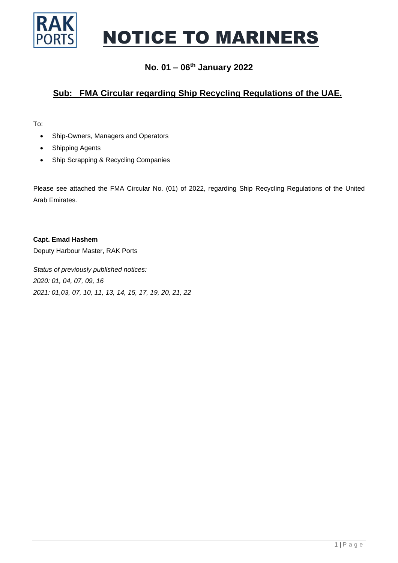

# NOTICE TO MARINERS

#### **No. 01 – 06 th January 2022**

### **Sub: FMA Circular regarding Ship Recycling Regulations of the UAE.**

To:

- Ship-Owners, Managers and Operators
- Shipping Agents
- Ship Scrapping & Recycling Companies

Please see attached the FMA Circular No. (01) of 2022, regarding Ship Recycling Regulations of the United Arab Emirates.

**Capt. Emad Hashem**

Deputy Harbour Master, RAK Ports

*Status of previously published notices: 2020: 01, 04, 07, 09, 16 2021: 01,03, 07, 10, 11, 13, 14, 15, 17, 19, 20, 21, 22*